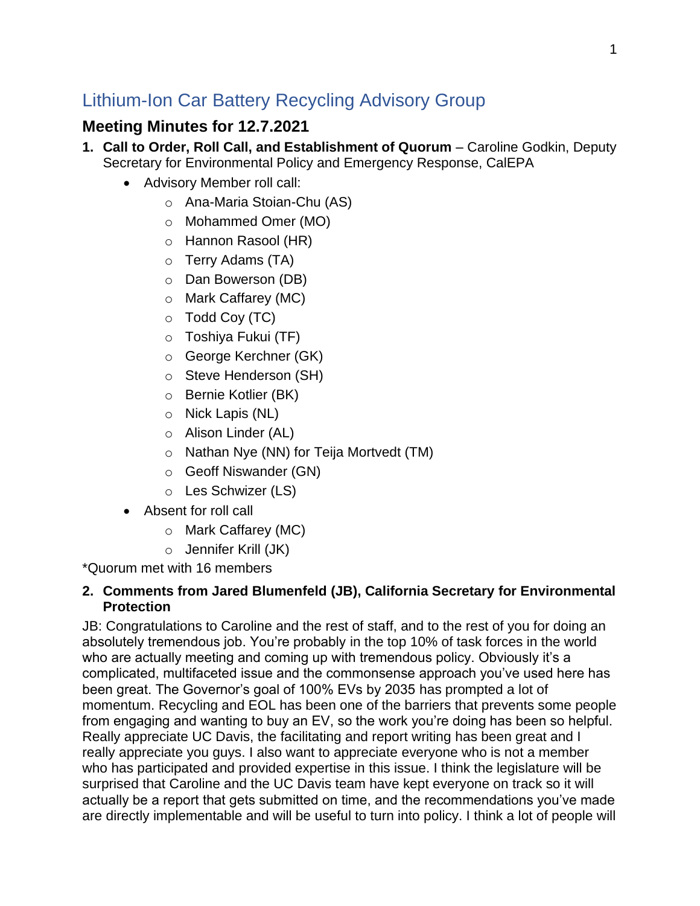# Lithium-Ion Car Battery Recycling Advisory Group

## **Meeting Minutes for 12.7.2021**

- **1. Call to Order, Roll Call, and Establishment of Quorum** Caroline Godkin, Deputy Secretary for Environmental Policy and Emergency Response, CalEPA
	- Advisory Member roll call:
		- o Ana-Maria Stoian-Chu (AS)
		- o Mohammed Omer (MO)
		- o Hannon Rasool (HR)
		- o Terry Adams (TA)
		- o Dan Bowerson (DB)
		- o Mark Caffarey (MC)
		- $\circ$  Todd Coy (TC)
		- o Toshiya Fukui (TF)
		- o George Kerchner (GK)
		- o Steve Henderson (SH)
		- o Bernie Kotlier (BK)
		- o Nick Lapis (NL)
		- o Alison Linder (AL)
		- o Nathan Nye (NN) for Teija Mortvedt (TM)
		- o Geoff Niswander (GN)
		- o Les Schwizer (LS)
	- Absent for roll call
		- o Mark Caffarey (MC)
		- o Jennifer Krill (JK)

\*Quorum met with 16 members

#### **2. Comments from Jared Blumenfeld (JB), California Secretary for Environmental Protection**

JB: Congratulations to Caroline and the rest of staff, and to the rest of you for doing an absolutely tremendous job. You're probably in the top 10% of task forces in the world who are actually meeting and coming up with tremendous policy. Obviously it's a complicated, multifaceted issue and the commonsense approach you've used here has been great. The Governor's goal of 100% EVs by 2035 has prompted a lot of momentum. Recycling and EOL has been one of the barriers that prevents some people from engaging and wanting to buy an EV, so the work you're doing has been so helpful. Really appreciate UC Davis, the facilitating and report writing has been great and I really appreciate you guys. I also want to appreciate everyone who is not a member who has participated and provided expertise in this issue. I think the legislature will be surprised that Caroline and the UC Davis team have kept everyone on track so it will actually be a report that gets submitted on time, and the recommendations you've made are directly implementable and will be useful to turn into policy. I think a lot of people will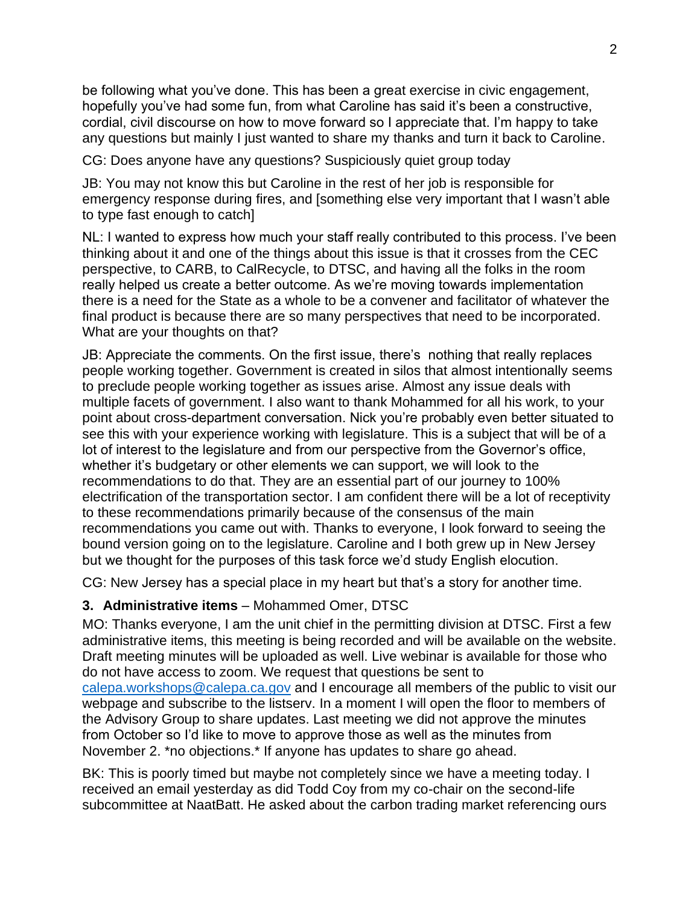be following what you've done. This has been a great exercise in civic engagement, hopefully you've had some fun, from what Caroline has said it's been a constructive, cordial, civil discourse on how to move forward so I appreciate that. I'm happy to take any questions but mainly I just wanted to share my thanks and turn it back to Caroline.

CG: Does anyone have any questions? Suspiciously quiet group today

JB: You may not know this but Caroline in the rest of her job is responsible for emergency response during fires, and [something else very important that I wasn't able to type fast enough to catch]

NL: I wanted to express how much your staff really contributed to this process. I've been thinking about it and one of the things about this issue is that it crosses from the CEC perspective, to CARB, to CalRecycle, to DTSC, and having all the folks in the room really helped us create a better outcome. As we're moving towards implementation there is a need for the State as a whole to be a convener and facilitator of whatever the final product is because there are so many perspectives that need to be incorporated. What are your thoughts on that?

JB: Appreciate the comments. On the first issue, there's nothing that really replaces people working together. Government is created in silos that almost intentionally seems to preclude people working together as issues arise. Almost any issue deals with multiple facets of government. I also want to thank Mohammed for all his work, to your point about cross-department conversation. Nick you're probably even better situated to see this with your experience working with legislature. This is a subject that will be of a lot of interest to the legislature and from our perspective from the Governor's office, whether it's budgetary or other elements we can support, we will look to the recommendations to do that. They are an essential part of our journey to 100% electrification of the transportation sector. I am confident there will be a lot of receptivity to these recommendations primarily because of the consensus of the main recommendations you came out with. Thanks to everyone, I look forward to seeing the bound version going on to the legislature. Caroline and I both grew up in New Jersey but we thought for the purposes of this task force we'd study English elocution.

CG: New Jersey has a special place in my heart but that's a story for another time.

#### **3. Administrative items** – Mohammed Omer, DTSC

MO: Thanks everyone, I am the unit chief in the permitting division at DTSC. First a few administrative items, this meeting is being recorded and will be available on the website. Draft meeting minutes will be uploaded as well. Live webinar is available for those who do not have access to zoom. We request that questions be sent to [calepa.workshops@calepa.ca.gov](mailto:calepa.workshops@calepa.ca.gov) and I encourage all members of the public to visit our webpage and subscribe to the listserv. In a moment I will open the floor to members of the Advisory Group to share updates. Last meeting we did not approve the minutes from October so I'd like to move to approve those as well as the minutes from November 2. \*no objections.\* If anyone has updates to share go ahead.

BK: This is poorly timed but maybe not completely since we have a meeting today. I received an email yesterday as did Todd Coy from my co-chair on the second-life subcommittee at NaatBatt. He asked about the carbon trading market referencing ours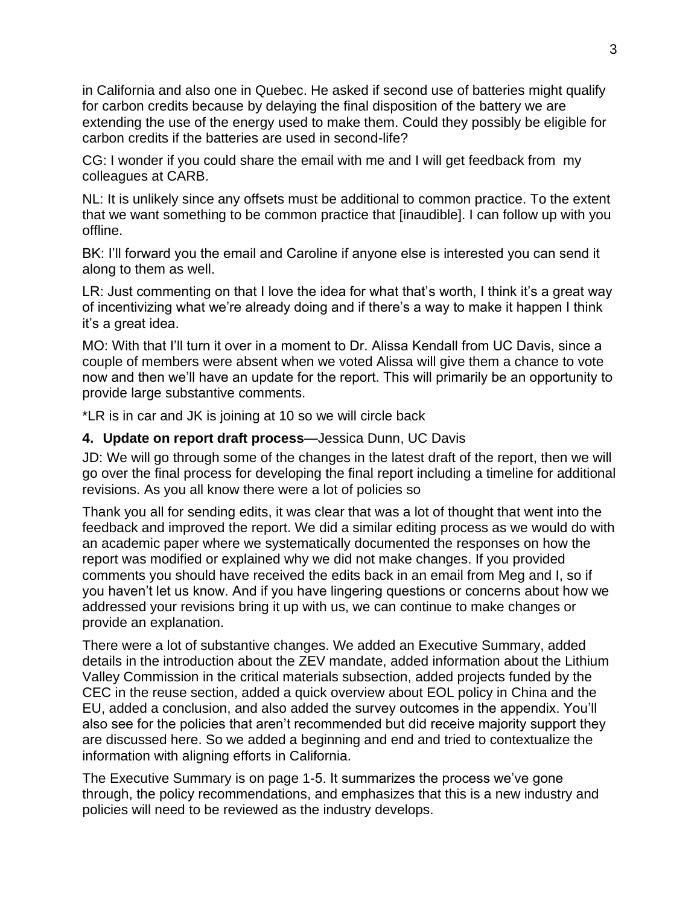in California and also one in Quebec. He asked if second use of batteries might qualify for carbon credits because by delaying the final disposition of the battery we are extending the use of the energy used to make them. Could they possibly be eligible for carbon credits if the batteries are used in second-life?

CG: I wonder if you could share the email with me and I will get feedback from my colleagues at CARB.

NL: It is unlikely since any offsets must be additional to common practice. To the extent that we want something to be common practice that [inaudible]. I can follow up with you offline.

BK: I'll forward you the email and Caroline if anyone else is interested you can send it along to them as well.

LR: Just commenting on that I love the idea for what that's worth, I think it's a great way of incentivizing what we're already doing and if there's a way to make it happen I think it's a great idea.

MO: With that I'll turn it over in a moment to Dr. Alissa Kendall from UC Davis, since a couple of members were absent when we voted Alissa will give them a chance to vote now and then we'll have an update for the report. This will primarily be an opportunity to provide large substantive comments.

\*LR is in car and JK is joining at 10 so we will circle back

#### **4. Update on report draft process**—Jessica Dunn, UC Davis

JD: We will go through some of the changes in the latest draft of the report, then we will go over the final process for developing the final report including a timeline for additional revisions. As you all know there were a lot of policies so

Thank you all for sending edits, it was clear that was a lot of thought that went into the feedback and improved the report. We did a similar editing process as we would do with an academic paper where we systematically documented the responses on how the report was modified or explained why we did not make changes. If you provided comments you should have received the edits back in an email from Meg and I, so if you haven't let us know. And if you have lingering questions or concerns about how we addressed your revisions bring it up with us, we can continue to make changes or provide an explanation.

There were a lot of substantive changes. We added an Executive Summary, added details in the introduction about the ZEV mandate, added information about the Lithium Valley Commission in the critical materials subsection, added projects funded by the CEC in the reuse section, added a quick overview about EOL policy in China and the EU, added a conclusion, and also added the survey outcomes in the appendix. You'll also see for the policies that aren't recommended but did receive majority support they are discussed here. So we added a beginning and end and tried to contextualize the information with aligning efforts in California.

The Executive Summary is on page 1-5. It summarizes the process we've gone through, the policy recommendations, and emphasizes that this is a new industry and policies will need to be reviewed as the industry develops.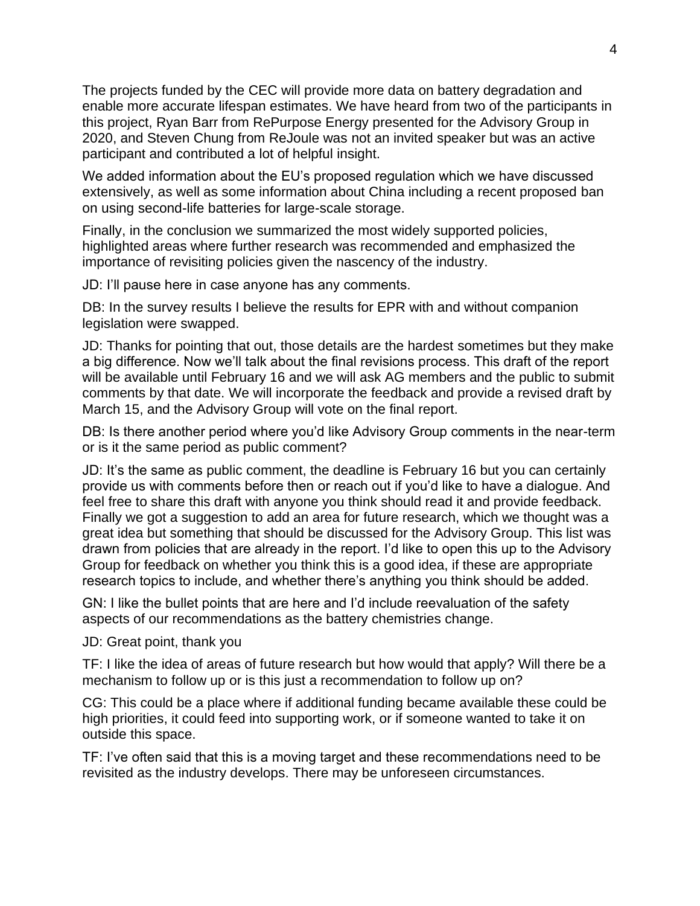The projects funded by the CEC will provide more data on battery degradation and enable more accurate lifespan estimates. We have heard from two of the participants in this project, Ryan Barr from RePurpose Energy presented for the Advisory Group in 2020, and Steven Chung from ReJoule was not an invited speaker but was an active participant and contributed a lot of helpful insight.

We added information about the EU's proposed regulation which we have discussed extensively, as well as some information about China including a recent proposed ban on using second-life batteries for large-scale storage.

Finally, in the conclusion we summarized the most widely supported policies, highlighted areas where further research was recommended and emphasized the importance of revisiting policies given the nascency of the industry.

JD: I'll pause here in case anyone has any comments.

DB: In the survey results I believe the results for EPR with and without companion legislation were swapped.

JD: Thanks for pointing that out, those details are the hardest sometimes but they make a big difference. Now we'll talk about the final revisions process. This draft of the report will be available until February 16 and we will ask AG members and the public to submit comments by that date. We will incorporate the feedback and provide a revised draft by March 15, and the Advisory Group will vote on the final report.

DB: Is there another period where you'd like Advisory Group comments in the near-term or is it the same period as public comment?

JD: It's the same as public comment, the deadline is February 16 but you can certainly provide us with comments before then or reach out if you'd like to have a dialogue. And feel free to share this draft with anyone you think should read it and provide feedback. Finally we got a suggestion to add an area for future research, which we thought was a great idea but something that should be discussed for the Advisory Group. This list was drawn from policies that are already in the report. I'd like to open this up to the Advisory Group for feedback on whether you think this is a good idea, if these are appropriate research topics to include, and whether there's anything you think should be added.

GN: I like the bullet points that are here and I'd include reevaluation of the safety aspects of our recommendations as the battery chemistries change.

#### JD: Great point, thank you

TF: I like the idea of areas of future research but how would that apply? Will there be a mechanism to follow up or is this just a recommendation to follow up on?

CG: This could be a place where if additional funding became available these could be high priorities, it could feed into supporting work, or if someone wanted to take it on outside this space.

TF: I've often said that this is a moving target and these recommendations need to be revisited as the industry develops. There may be unforeseen circumstances.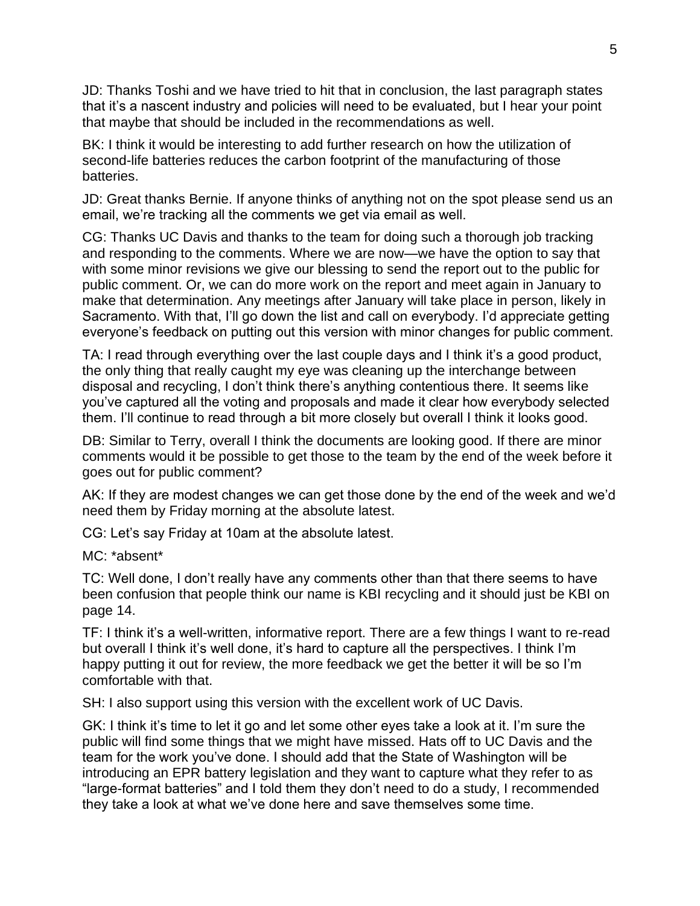JD: Thanks Toshi and we have tried to hit that in conclusion, the last paragraph states that it's a nascent industry and policies will need to be evaluated, but I hear your point that maybe that should be included in the recommendations as well.

BK: I think it would be interesting to add further research on how the utilization of second-life batteries reduces the carbon footprint of the manufacturing of those batteries.

JD: Great thanks Bernie. If anyone thinks of anything not on the spot please send us an email, we're tracking all the comments we get via email as well.

CG: Thanks UC Davis and thanks to the team for doing such a thorough job tracking and responding to the comments. Where we are now—we have the option to say that with some minor revisions we give our blessing to send the report out to the public for public comment. Or, we can do more work on the report and meet again in January to make that determination. Any meetings after January will take place in person, likely in Sacramento. With that, I'll go down the list and call on everybody. I'd appreciate getting everyone's feedback on putting out this version with minor changes for public comment.

TA: I read through everything over the last couple days and I think it's a good product, the only thing that really caught my eye was cleaning up the interchange between disposal and recycling, I don't think there's anything contentious there. It seems like you've captured all the voting and proposals and made it clear how everybody selected them. I'll continue to read through a bit more closely but overall I think it looks good.

DB: Similar to Terry, overall I think the documents are looking good. If there are minor comments would it be possible to get those to the team by the end of the week before it goes out for public comment?

AK: If they are modest changes we can get those done by the end of the week and we'd need them by Friday morning at the absolute latest.

CG: Let's say Friday at 10am at the absolute latest.

MC: \*absent\*

TC: Well done, I don't really have any comments other than that there seems to have been confusion that people think our name is KBI recycling and it should just be KBI on page 14.

TF: I think it's a well-written, informative report. There are a few things I want to re-read but overall I think it's well done, it's hard to capture all the perspectives. I think I'm happy putting it out for review, the more feedback we get the better it will be so I'm comfortable with that.

SH: I also support using this version with the excellent work of UC Davis.

GK: I think it's time to let it go and let some other eyes take a look at it. I'm sure the public will find some things that we might have missed. Hats off to UC Davis and the team for the work you've done. I should add that the State of Washington will be introducing an EPR battery legislation and they want to capture what they refer to as "large-format batteries" and I told them they don't need to do a study, I recommended they take a look at what we've done here and save themselves some time.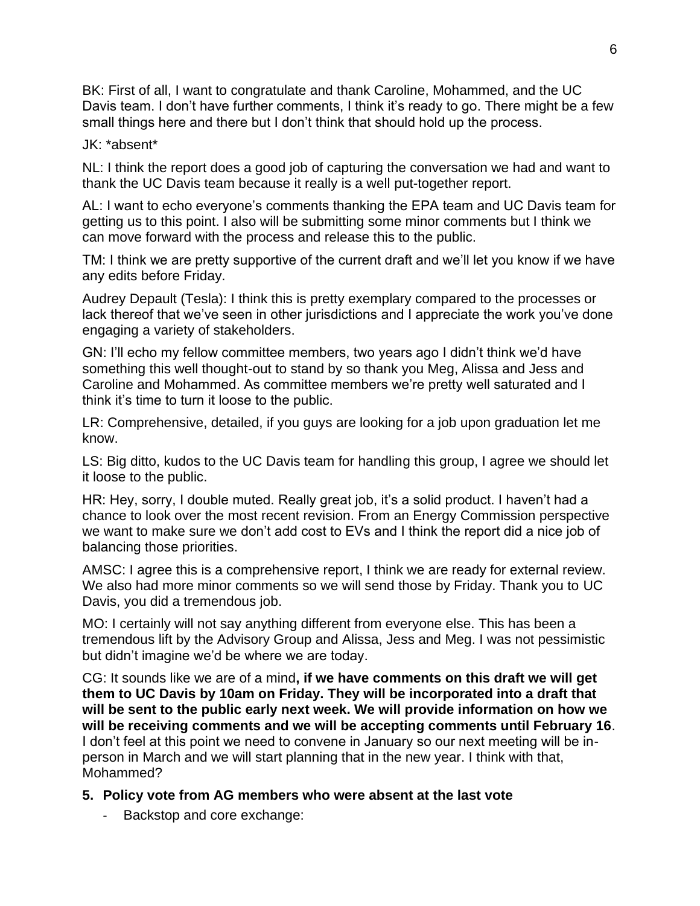BK: First of all, I want to congratulate and thank Caroline, Mohammed, and the UC Davis team. I don't have further comments, I think it's ready to go. There might be a few small things here and there but I don't think that should hold up the process.

#### JK: \*absent\*

NL: I think the report does a good job of capturing the conversation we had and want to thank the UC Davis team because it really is a well put-together report.

AL: I want to echo everyone's comments thanking the EPA team and UC Davis team for getting us to this point. I also will be submitting some minor comments but I think we can move forward with the process and release this to the public.

TM: I think we are pretty supportive of the current draft and we'll let you know if we have any edits before Friday.

Audrey Depault (Tesla): I think this is pretty exemplary compared to the processes or lack thereof that we've seen in other jurisdictions and I appreciate the work you've done engaging a variety of stakeholders.

GN: I'll echo my fellow committee members, two years ago I didn't think we'd have something this well thought-out to stand by so thank you Meg, Alissa and Jess and Caroline and Mohammed. As committee members we're pretty well saturated and I think it's time to turn it loose to the public.

LR: Comprehensive, detailed, if you guys are looking for a job upon graduation let me know.

LS: Big ditto, kudos to the UC Davis team for handling this group, I agree we should let it loose to the public.

HR: Hey, sorry, I double muted. Really great job, it's a solid product. I haven't had a chance to look over the most recent revision. From an Energy Commission perspective we want to make sure we don't add cost to EVs and I think the report did a nice job of balancing those priorities.

AMSC: I agree this is a comprehensive report, I think we are ready for external review. We also had more minor comments so we will send those by Friday. Thank you to UC Davis, you did a tremendous job.

MO: I certainly will not say anything different from everyone else. This has been a tremendous lift by the Advisory Group and Alissa, Jess and Meg. I was not pessimistic but didn't imagine we'd be where we are today.

CG: It sounds like we are of a mind**, if we have comments on this draft we will get them to UC Davis by 10am on Friday. They will be incorporated into a draft that will be sent to the public early next week. We will provide information on how we will be receiving comments and we will be accepting comments until February 16**. I don't feel at this point we need to convene in January so our next meeting will be inperson in March and we will start planning that in the new year. I think with that, Mohammed?

#### **5. Policy vote from AG members who were absent at the last vote**

- Backstop and core exchange: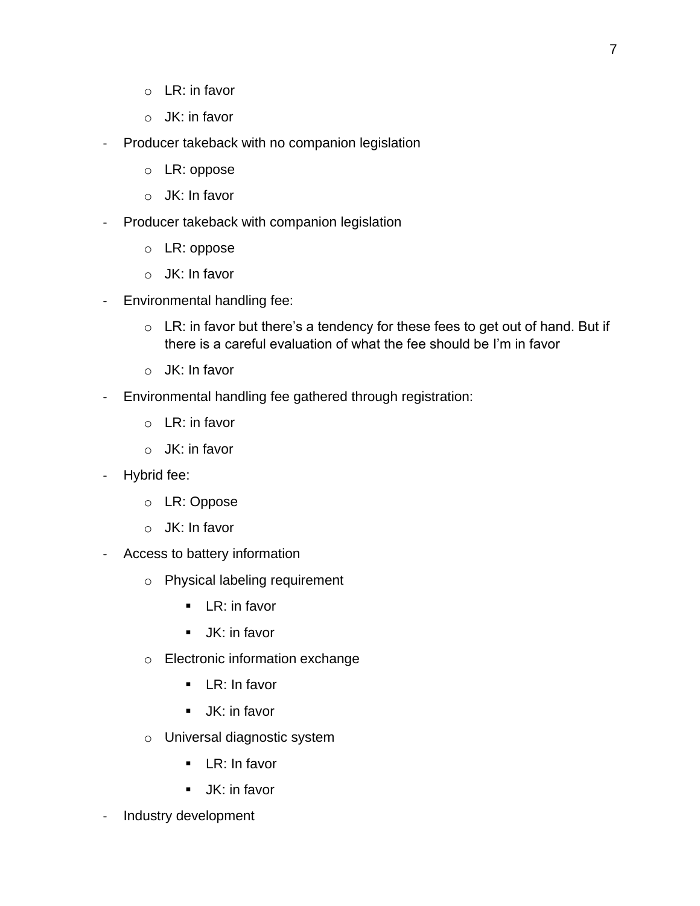- $\circ$  LR: in favor
- o JK: in favor
- Producer takeback with no companion legislation
	- o LR: oppose
	- o JK: In favor
- Producer takeback with companion legislation
	- o LR: oppose
	- o JK: In favor
- Environmental handling fee:
	- $\circ$  LR: in favor but there's a tendency for these fees to get out of hand. But if there is a careful evaluation of what the fee should be I'm in favor
	- o JK: In favor
- Environmental handling fee gathered through registration:
	- o LR: in favor
	- o JK: in favor
- Hybrid fee:
	- o LR: Oppose
	- o JK: In favor
- Access to battery information
	- o Physical labeling requirement
		- $\blacksquare$  LR: in favor
		- **■** JK: in favor
	- o Electronic information exchange
		- LR: In favor
		- **■** JK: in favor
	- o Universal diagnostic system
		- LR: In favor
		- **■** JK: in favor
- Industry development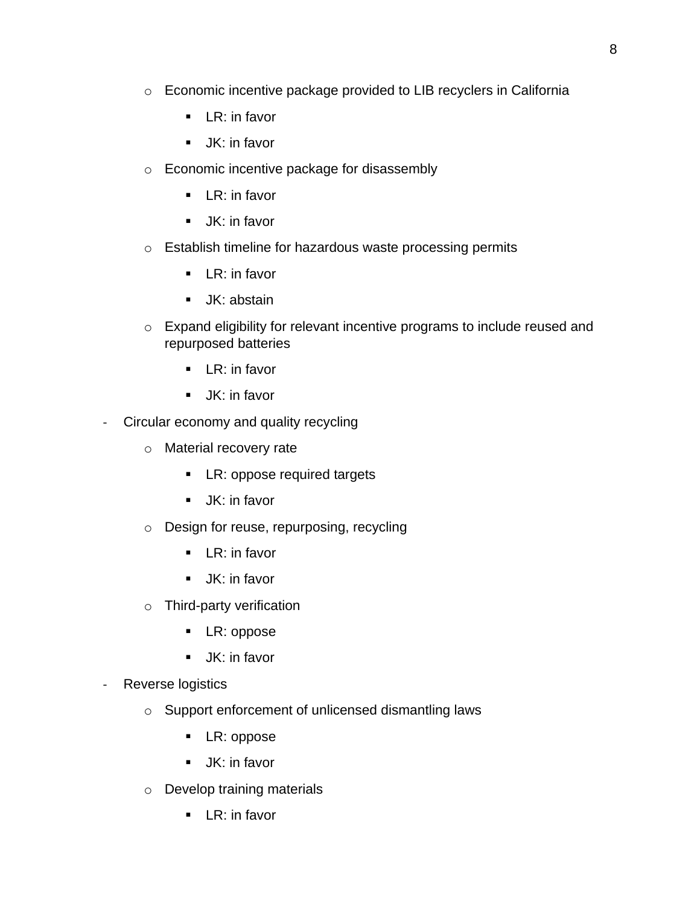- o Economic incentive package provided to LIB recyclers in California
	- **EXECT:** in favor
	- JK: in favor
- o Economic incentive package for disassembly
	- **EXECT**: in favor
	- JK: in favor
- o Establish timeline for hazardous waste processing permits
	- **EXECT:** in favor
	- **■** JK: abstain
- o Expand eligibility for relevant incentive programs to include reused and repurposed batteries
	- LR: in favor
	- **■** JK: in favor
- Circular economy and quality recycling
	- o Material recovery rate
		- LR: oppose required targets
		- JK: in favor
	- o Design for reuse, repurposing, recycling
		- LR: in favor
		- **■** JK: in favor
	- o Third-party verification
		- LR: oppose
		- **■** JK: in favor
- Reverse logistics
	- o Support enforcement of unlicensed dismantling laws
		- LR: oppose
		- **■** JK: in favor
	- o Develop training materials
		- **EXEC**: in favor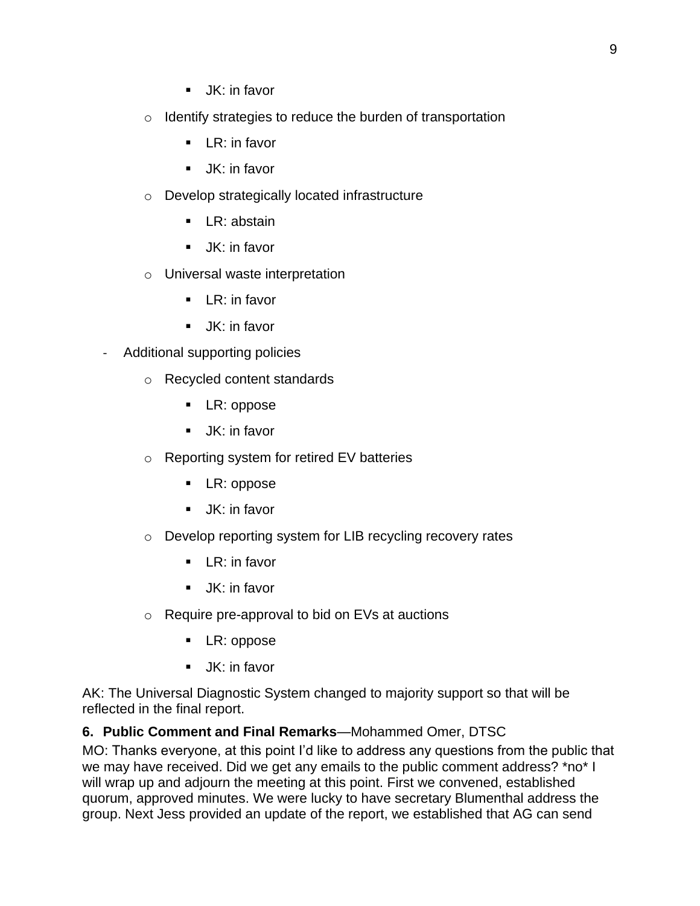- **■** JK: in favor
- o Identify strategies to reduce the burden of transportation
	- LR: in favor
	- JK: in favor
- o Develop strategically located infrastructure
	- LR: abstain
	- JK: in favor
- o Universal waste interpretation
	- $\blacksquare$  LR: in favor
	- JK: in favor
- Additional supporting policies
	- o Recycled content standards
		- LR: oppose
		- JK: in favor
	- o Reporting system for retired EV batteries
		- LR: oppose
		- JK: in favor
	- o Develop reporting system for LIB recycling recovery rates
		- LR: in favor
		- JK: in favor
	- o Require pre-approval to bid on EVs at auctions
		- LR: oppose
		- **■** JK: in favor

AK: The Universal Diagnostic System changed to majority support so that will be reflected in the final report.

### **6. Public Comment and Final Remarks**—Mohammed Omer, DTSC

MO: Thanks everyone, at this point I'd like to address any questions from the public that we may have received. Did we get any emails to the public comment address? \*no\* I will wrap up and adjourn the meeting at this point. First we convened, established quorum, approved minutes. We were lucky to have secretary Blumenthal address the group. Next Jess provided an update of the report, we established that AG can send